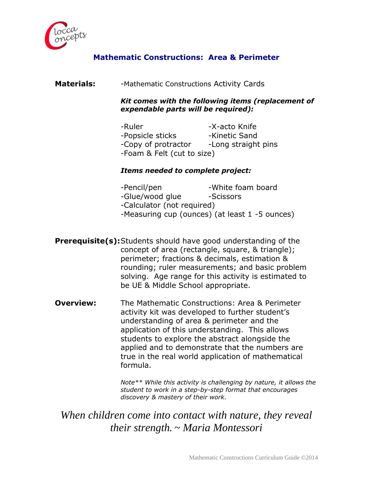

# **Mathematic Constructions: Area & Perimeter**

# **Materials:** -Mathematic Constructions Activity Cards

*Kit comes with the following items (replacement of expendable parts will be required):*

| -Ruler                     | -X-acto Knife       |
|----------------------------|---------------------|
| -Popsicle sticks           | -Kinetic Sand       |
| -Copy of protractor        | -Long straight pins |
| -Foam & Felt (cut to size) |                     |

# *Items needed to complete project:*

| -Pencil/pen                | -White foam board                              |  |
|----------------------------|------------------------------------------------|--|
| -Glue/wood glue            | -Scissors                                      |  |
| -Calculator (not required) |                                                |  |
|                            | -Measuring cup (ounces) (at least 1 -5 ounces) |  |

- **Prerequisite(s):**Students should have good understanding of the concept of area (rectangle, square, & triangle); perimeter; fractions & decimals, estimation & rounding; ruler measurements; and basic problem solving. Age range for this activity is estimated to be UE & Middle School appropriate.
- **Overview:** The Mathematic Constructions: Area & Perimeter activity kit was developed to further student's understanding of area & perimeter and the application of this understanding. This allows students to explore the abstract alongside the applied and to demonstrate that the numbers are true in the real world application of mathematical formula.

*Note\*\* While this activity is challenging by nature, it allows the student to work in a step-by-step format that encourages discovery & mastery of their work.*

# *When children come into contact with nature, they reveal their strength. ~ Maria Montessori*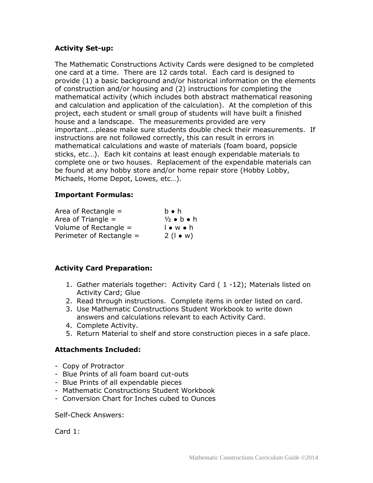# **Activity Set-up:**

The Mathematic Constructions Activity Cards were designed to be completed one card at a time. There are 12 cards total. Each card is designed to provide (1) a basic background and/or historical information on the elements of construction and/or housing and (2) instructions for completing the mathematical activity (which includes both abstract mathematical reasoning and calculation and application of the calculation). At the completion of this project, each student or small group of students will have built a finished house and a landscape. The measurements provided are very important….please make sure students double check their measurements. If instructions are not followed correctly, this can result in errors in mathematical calculations and waste of materials (foam board, popsicle sticks, etc…). Each kit contains at least enough expendable materials to complete one or two houses. Replacement of the expendable materials can be found at any hobby store and/or home repair store (Hobby Lobby, Michaels, Home Depot, Lowes, etc…).

## **Important Formulas:**

| Area of Rectangle $=$    | $b \bullet h$           |
|--------------------------|-------------------------|
| Area of Triangle $=$     | $\frac{1}{2}$ o b o h   |
| Volume of Rectangle $=$  | $\bullet$ w $\bullet$ h |
| Perimeter of Rectangle = | $2(1 \bullet w)$        |

# **Activity Card Preparation:**

- 1. Gather materials together: Activity Card ( 1 -12); Materials listed on Activity Card; Glue
- 2. Read through instructions. Complete items in order listed on card.
- 3. Use Mathematic Constructions Student Workbook to write down answers and calculations relevant to each Activity Card.
- 4. Complete Activity.
- 5. Return Material to shelf and store construction pieces in a safe place.

## **Attachments Included:**

- Copy of Protractor
- Blue Prints of all foam board cut-outs
- Blue Prints of all expendable pieces
- Mathematic Constructions Student Workbook
- Conversion Chart for Inches cubed to Ounces

Self-Check Answers:

Card 1: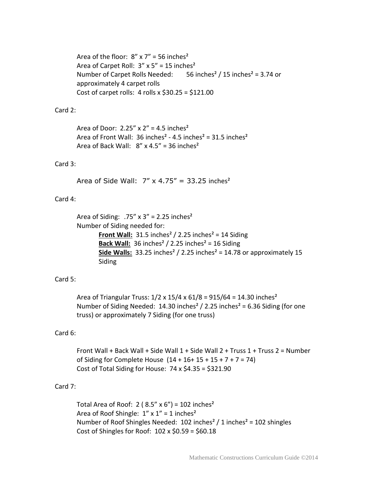Area of the floor:  $8'' \times 7'' = 56$  inches<sup>2</sup> Area of Carpet Roll:  $3'' \times 5'' = 15$  inches<sup>2</sup> Number of Carpet Rolls Needed:  $56$  inches<sup>2</sup> / 15 inches<sup>2</sup> = 3.74 or approximately 4 carpet rolls Cost of carpet rolls:  $4$  rolls x \$30.25 = \$121.00

### Card 2:

Area of Door:  $2.25'' \times 2'' = 4.5$  inches<sup>2</sup> Area of Front Wall: 36 inches<sup>2</sup> - 4.5 inches<sup>2</sup> = 31.5 inches<sup>2</sup> Area of Back Wall:  $8''$  x 4.5" = 36 inches<sup>2</sup>

#### Card 3:

Area of Side Wall:  $7'' \times 4.75'' = 33.25$  inches<sup>2</sup>

#### Card 4:

```
Area of Siding: .75" \times 3" = 2.25 inches<sup>2</sup>
Number of Siding needed for:
          Front Wall: 31.5 inches<sup>2</sup> / 2.25 inches<sup>2</sup> = 14 Siding
          Back Wall: 36 inches<sup>2</sup> / 2.25 inches<sup>2</sup> = 16 Siding
          Side Walls: 33.25 inches<sup>2</sup> / 2.25 inches<sup>2</sup> = 14.78 or approximately 15
          Siding
```
#### Card 5:

Area of Triangular Truss:  $1/2 \times 15/4 \times 61/8 = 915/64 = 14.30$  inches<sup>2</sup> Number of Siding Needed: 14.30 inches<sup>2</sup> / 2.25 inches<sup>2</sup> = 6.36 Siding (for one truss) or approximately 7 Siding (for one truss)

#### Card 6:

Front Wall + Back Wall + Side Wall 1 + Side Wall 2 + Truss 1 + Truss 2 = Number of Siding for Complete House  $(14 + 16 + 15 + 15 + 7 + 7 = 74)$ Cost of Total Siding for House:  $74 \times $4.35 = $321.90$ 

#### Card 7:

Total Area of Roof:  $2$  (8.5" x 6") = 102 inches<sup>2</sup> Area of Roof Shingle:  $1'' \times 1'' = 1$  inches<sup>2</sup> Number of Roof Shingles Needed: 102 inches² / 1 inches² = 102 shingles Cost of Shingles for Roof:  $102 \times $0.59 = $60.18$